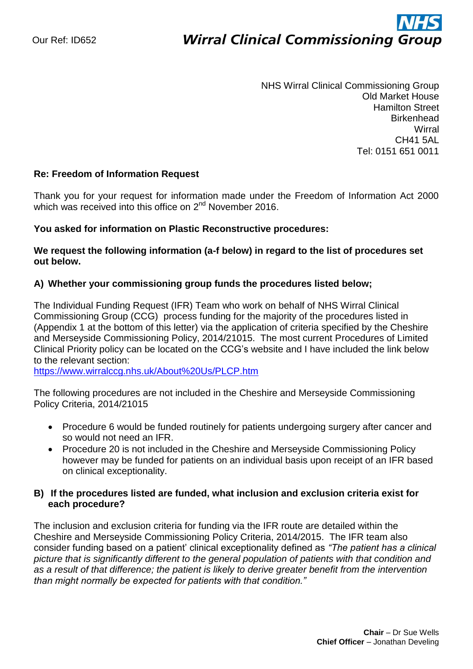# ì **Wirral Clinical Commissioning Group**

NHS Wirral Clinical Commissioning Group Old Market House Hamilton Street **Birkenhead Wirral** CH41 5AL Tel: 0151 651 0011

#### **Re: Freedom of Information Request**

Thank you for your request for information made under the Freedom of Information Act 2000 which was received into this office on 2<sup>nd</sup> November 2016.

#### **You asked for information on Plastic Reconstructive procedures:**

**We request the following information (a-f below) in regard to the list of procedures set out below.**

#### **A) Whether your commissioning group funds the procedures listed below;**

The Individual Funding Request (IFR) Team who work on behalf of NHS Wirral Clinical Commissioning Group (CCG) process funding for the majority of the procedures listed in (Appendix 1 at the bottom of this letter) via the application of criteria specified by the Cheshire and Merseyside Commissioning Policy, 2014/21015. The most current Procedures of Limited Clinical Priority policy can be located on the CCG's website and I have included the link below to the relevant section:

<https://www.wirralccg.nhs.uk/About%20Us/PLCP.htm>

The following procedures are not included in the Cheshire and Merseyside Commissioning Policy Criteria, 2014/21015

- Procedure 6 would be funded routinely for patients undergoing surgery after cancer and so would not need an IFR.
- Procedure 20 is not included in the Cheshire and Merseyside Commissioning Policy however may be funded for patients on an individual basis upon receipt of an IFR based on clinical exceptionality.

#### **B) If the procedures listed are funded, what inclusion and exclusion criteria exist for each procedure?**

The inclusion and exclusion criteria for funding via the IFR route are detailed within the Cheshire and Merseyside Commissioning Policy Criteria, 2014/2015. The IFR team also consider funding based on a patient' clinical exceptionality defined as *"The patient has a clinical picture that is significantly different to the general population of patients with that condition and as a result of that difference; the patient is likely to derive greater benefit from the intervention than might normally be expected for patients with that condition."*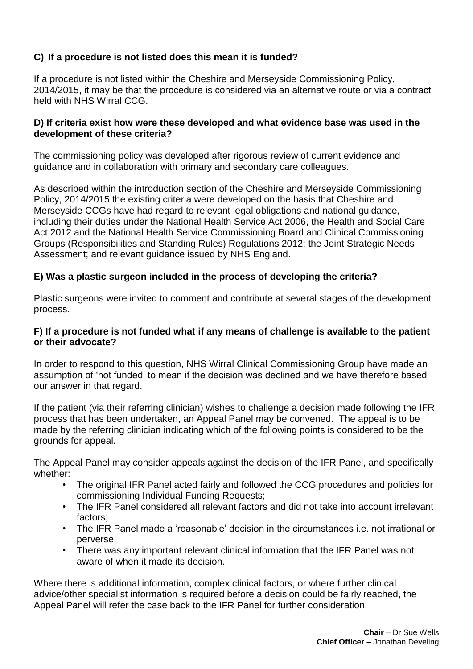## **C) If a procedure is not listed does this mean it is funded?**

If a procedure is not listed within the Cheshire and Merseyside Commissioning Policy, 2014/2015, it may be that the procedure is considered via an alternative route or via a contract held with NHS Wirral CCG.

#### **D) If criteria exist how were these developed and what evidence base was used in the development of these criteria?**

The commissioning policy was developed after rigorous review of current evidence and guidance and in collaboration with primary and secondary care colleagues.

As described within the introduction section of the Cheshire and Merseyside Commissioning Policy, 2014/2015 the existing criteria were developed on the basis that Cheshire and Merseyside CCGs have had regard to relevant legal obligations and national guidance, including their duties under the National Health Service Act 2006, the Health and Social Care Act 2012 and the National Health Service Commissioning Board and Clinical Commissioning Groups (Responsibilities and Standing Rules) Regulations 2012; the Joint Strategic Needs Assessment; and relevant guidance issued by NHS England.

### **E) Was a plastic surgeon included in the process of developing the criteria?**

Plastic surgeons were invited to comment and contribute at several stages of the development process.

#### **F) If a procedure is not funded what if any means of challenge is available to the patient or their advocate?**

In order to respond to this question, NHS Wirral Clinical Commissioning Group have made an assumption of 'not funded' to mean if the decision was declined and we have therefore based our answer in that regard.

If the patient (via their referring clinician) wishes to challenge a decision made following the IFR process that has been undertaken, an Appeal Panel may be convened. The appeal is to be made by the referring clinician indicating which of the following points is considered to be the grounds for appeal.

The Appeal Panel may consider appeals against the decision of the IFR Panel, and specifically whether:

- The original IFR Panel acted fairly and followed the CCG procedures and policies for commissioning Individual Funding Requests;
- The IFR Panel considered all relevant factors and did not take into account irrelevant factors;
- The IFR Panel made a 'reasonable' decision in the circumstances i.e. not irrational or perverse;
- There was any important relevant clinical information that the IFR Panel was not aware of when it made its decision.

Where there is additional information, complex clinical factors, or where further clinical advice/other specialist information is required before a decision could be fairly reached, the Appeal Panel will refer the case back to the IFR Panel for further consideration.